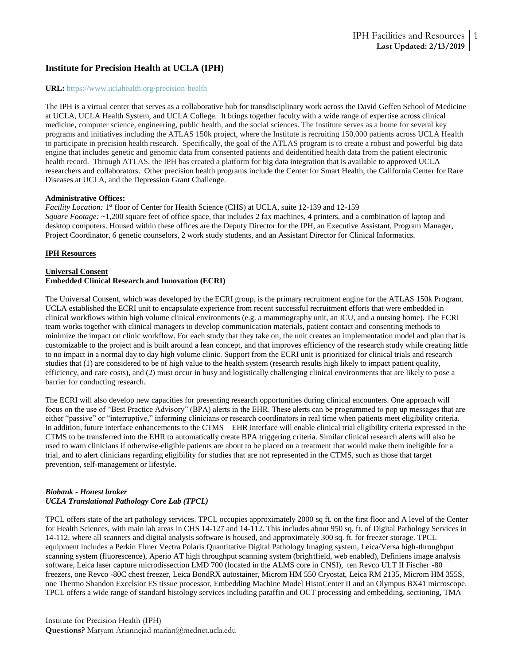# **Institute for Precision Health at UCLA (IPH)**

#### **URL:** https://www.uclahealth.org/precision-health

The IPH is a virtual center that serves as a collaborative hub for transdisciplinary work across the David Geffen School of Medicine at UCLA, UCLA Health System, and UCLA College. It brings together faculty with a wide range of expertise across clinical medicine, computer science, engineering, public health, and the social sciences. The Institute serves as a home for several key programs and initiatives including the ATLAS 150k project, where the Institute is recruiting 150,000 patients across UCLA Health to participate in precision health research. Specifically, the goal of the ATLAS program is to create a robust and powerful big data engine that includes genetic and genomic data from consented patients and deidentified health data from the patient electronic health record. Through ATLAS, the IPH has created a platform for big data integration that is available to approved UCLA researchers and collaborators. Other precision health programs include the Center for Smart Health, the California Center for Rare Diseases at UCLA, and the Depression Grant Challenge.

#### **Administrative Offices:**

Facility Location: 1<sup>st</sup> floor of Center for Health Science (CHS) at UCLA, suite 12-139 and 12-159 *Square Footage:* ~1,200 square feet of office space, that includes 2 fax machines, 4 printers, and a combination of laptop and desktop computers. Housed within these offices are the Deputy Director for the IPH, an Executive Assistant, Program Manager, Project Coordinator, 6 genetic counselors, 2 work study students, and an Assistant Director for Clinical Informatics.

### **IPH Resources**

#### **Universal Consent Embedded Clinical Research and Innovation (ECRI)**

The Universal Consent, which was developed by the ECRI group, is the primary recruitment engine for the ATLAS 150k Program. UCLA established the ECRI unit to encapsulate experience from recent successful recruitment efforts that were embedded in clinical workflows within high volume clinical environments (e.g. a mammography unit, an ICU, and a nursing home). The ECRI team works together with clinical managers to develop communication materials, patient contact and consenting methods to minimize the impact on clinic workflow. For each study that they take on, the unit creates an implementation model and plan that is customizable to the project and is built around a lean concept, and that improves efficiency of the research study while creating little to no impact in a normal day to day high volume clinic. Support from the ECRI unit is prioritized for clinical trials and research studies that (1) are considered to be of high value to the health system (research results high likely to impact patient quality, efficiency, and care costs), and (2) must occur in busy and logistically challenging clinical environments that are likely to pose a barrier for conducting research.

The ECRI will also develop new capacities for presenting research opportunities during clinical encounters. One approach will focus on the use of "Best Practice Advisory" (BPA) alerts in the EHR. These alerts can be programmed to pop up messages that are either "passive" or "interruptive," informing clinicians or research coordinators in real time when patients meet eligibility criteria. In addition, future interface enhancements to the CTMS – EHR interface will enable clinical trial eligibility criteria expressed in the CTMS to be transferred into the EHR to automatically create BPA triggering criteria. Similar clinical research alerts will also be used to warn clinicians if otherwise-eligible patients are about to be placed on a treatment that would make them ineligible for a trial, and to alert clinicians regarding eligibility for studies that are not represented in the CTMS, such as those that target prevention, self-management or lifestyle.

### *Biobank - Honest broker UCLA Translational Pathology Core Lab (TPCL)*

TPCL offers state of the art pathology services. TPCL occupies approximately 2000 sq ft. on the first floor and A level of the Center for Health Sciences, with main lab areas in CHS 14-127 and 14-112. This includes about 950 sq. ft. of Digital Pathology Services in 14-112, where all scanners and digital analysis software is housed, and approximately 300 sq. ft. for freezer storage. TPCL equipment includes a Perkin Elmer Vectra Polaris Quantitative Digital Pathology Imaging system, Leica/Versa high-throughput scanning system (fluorescence), Aperio AT high throughput scanning system (brightfield, web enabled), Definiens image analysis software, Leica laser capture microdissection LMD 700 (located in the ALMS core in CNSI), ten Revco ULT II Fischer -80 freezers, one Revco -80C chest freezer, Leica BondRX autostainer, Microm HM 550 Cryostat, Leica RM 2135, Microm HM 355S, one Thermo Shandon Excelsior ES tissue processor, Embedding Machine Model HistoCenter II and an Olympus BX41 microscope. TPCL offers a wide range of standard histology services including paraffin and OCT processing and embedding, sectioning, TMA